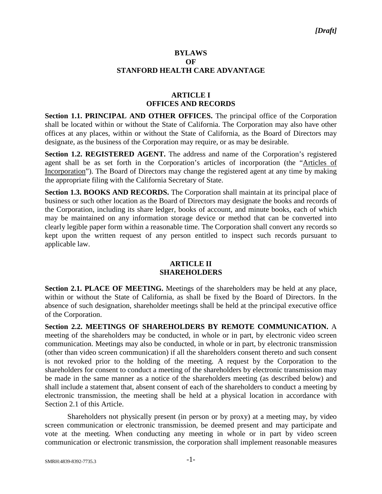## **BYLAWS OF STANFORD HEALTH CARE ADVANTAGE**

# **ARTICLE I OFFICES AND RECORDS**

**Section 1.1. PRINCIPAL AND OTHER OFFICES.** The principal office of the Corporation shall be located within or without the State of California. The Corporation may also have other offices at any places, within or without the State of California, as the Board of Directors may designate, as the business of the Corporation may require, or as may be desirable.

**Section 1.2. REGISTERED AGENT.** The address and name of the Corporation's registered agent shall be as set forth in the Corporation's articles of incorporation (the "Articles of Incorporation"). The Board of Directors may change the registered agent at any time by making the appropriate filing with the California Secretary of State.

**Section 1.3. BOOKS AND RECORDS.** The Corporation shall maintain at its principal place of business or such other location as the Board of Directors may designate the books and records of the Corporation, including its share ledger, books of account, and minute books, each of which may be maintained on any information storage device or method that can be converted into clearly legible paper form within a reasonable time. The Corporation shall convert any records so kept upon the written request of any person entitled to inspect such records pursuant to applicable law.

### **ARTICLE II SHAREHOLDERS**

**Section 2.1. PLACE OF MEETING.** Meetings of the shareholders may be held at any place, within or without the State of California, as shall be fixed by the Board of Directors. In the absence of such designation, shareholder meetings shall be held at the principal executive office of the Corporation.

**Section 2.2. MEETINGS OF SHAREHOLDERS BY REMOTE COMMUNICATION.** A meeting of the shareholders may be conducted, in whole or in part, by electronic video screen communication. Meetings may also be conducted, in whole or in part, by electronic transmission (other than video screen communication) if all the shareholders consent thereto and such consent is not revoked prior to the holding of the meeting. A request by the Corporation to the shareholders for consent to conduct a meeting of the shareholders by electronic transmission may be made in the same manner as a notice of the shareholders meeting (as described below) and shall include a statement that, absent consent of each of the shareholders to conduct a meeting by electronic transmission, the meeting shall be held at a physical location in accordance with Section 2.1 of this Article.

Shareholders not physically present (in person or by proxy) at a meeting may, by video screen communication or electronic transmission, be deemed present and may participate and vote at the meeting. When conducting any meeting in whole or in part by video screen communication or electronic transmission, the corporation shall implement reasonable measures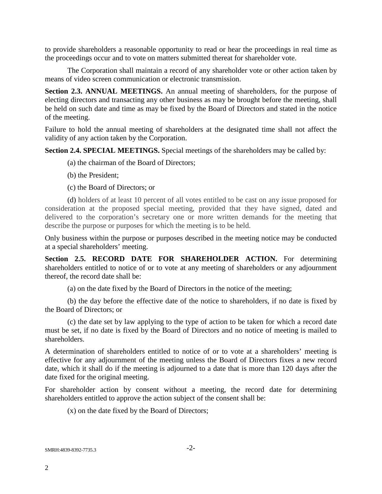to provide shareholders a reasonable opportunity to read or hear the proceedings in real time as the proceedings occur and to vote on matters submitted thereat for shareholder vote.

The Corporation shall maintain a record of any shareholder vote or other action taken by means of video screen communication or electronic transmission.

**Section 2.3. ANNUAL MEETINGS.** An annual meeting of shareholders, for the purpose of electing directors and transacting any other business as may be brought before the meeting, shall be held on such date and time as may be fixed by the Board of Directors and stated in the notice of the meeting.

Failure to hold the annual meeting of shareholders at the designated time shall not affect the validity of any action taken by the Corporation.

**Section 2.4. SPECIAL MEETINGS.** Special meetings of the shareholders may be called by:

(a) the chairman of the Board of Directors;

- (b) the President;
- (c) the Board of Directors; or

(d) holders of at least 10 percent of all votes entitled to be cast on any issue proposed for consideration at the proposed special meeting, provided that they have signed, dated and delivered to the corporation's secretary one or more written demands for the meeting that describe the purpose or purposes for which the meeting is to be held.

Only business within the purpose or purposes described in the meeting notice may be conducted at a special shareholders' meeting.

**Section 2.5. RECORD DATE FOR SHAREHOLDER ACTION.** For determining shareholders entitled to notice of or to vote at any meeting of shareholders or any adjournment thereof, the record date shall be:

(a) on the date fixed by the Board of Directors in the notice of the meeting;

(b) the day before the effective date of the notice to shareholders, if no date is fixed by the Board of Directors; or

(c) the date set by law applying to the type of action to be taken for which a record date must be set, if no date is fixed by the Board of Directors and no notice of meeting is mailed to shareholders.

A determination of shareholders entitled to notice of or to vote at a shareholders' meeting is effective for any adjournment of the meeting unless the Board of Directors fixes a new record date, which it shall do if the meeting is adjourned to a date that is more than 120 days after the date fixed for the original meeting.

For shareholder action by consent without a meeting, the record date for determining shareholders entitled to approve the action subject of the consent shall be:

(x) on the date fixed by the Board of Directors;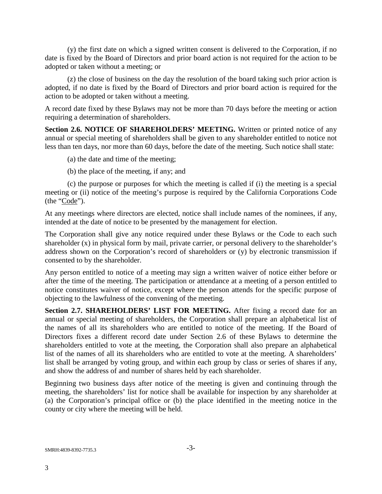(y) the first date on which a signed written consent is delivered to the Corporation, if no date is fixed by the Board of Directors and prior board action is not required for the action to be adopted or taken without a meeting; or

(z) the close of business on the day the resolution of the board taking such prior action is adopted, if no date is fixed by the Board of Directors and prior board action is required for the action to be adopted or taken without a meeting.

A record date fixed by these Bylaws may not be more than 70 days before the meeting or action requiring a determination of shareholders.

**Section 2.6. NOTICE OF SHAREHOLDERS' MEETING.** Written or printed notice of any annual or special meeting of shareholders shall be given to any shareholder entitled to notice not less than ten days, nor more than 60 days, before the date of the meeting. Such notice shall state:

(a) the date and time of the meeting;

(b) the place of the meeting, if any; and

(c) the purpose or purposes for which the meeting is called if (i) the meeting is a special meeting or (ii) notice of the meeting's purpose is required by the California Corporations Code (the "Code").

At any meetings where directors are elected, notice shall include names of the nominees, if any, intended at the date of notice to be presented by the management for election.

The Corporation shall give any notice required under these Bylaws or the Code to each such shareholder (x) in physical form by mail, private carrier, or personal delivery to the shareholder's address shown on the Corporation's record of shareholders or (y) by electronic transmission if consented to by the shareholder.

Any person entitled to notice of a meeting may sign a written waiver of notice either before or after the time of the meeting. The participation or attendance at a meeting of a person entitled to notice constitutes waiver of notice, except where the person attends for the specific purpose of objecting to the lawfulness of the convening of the meeting.

**Section 2.7. SHAREHOLDERS' LIST FOR MEETING.** After fixing a record date for an annual or special meeting of shareholders, the Corporation shall prepare an alphabetical list of the names of all its shareholders who are entitled to notice of the meeting. If the Board of Directors fixes a different record date under Section 2.6 of these Bylaws to determine the shareholders entitled to vote at the meeting, the Corporation shall also prepare an alphabetical list of the names of all its shareholders who are entitled to vote at the meeting. A shareholders' list shall be arranged by voting group, and within each group by class or series of shares if any, and show the address of and number of shares held by each shareholder.

Beginning two business days after notice of the meeting is given and continuing through the meeting, the shareholders' list for notice shall be available for inspection by any shareholder at (a) the Corporation's principal office or (b) the place identified in the meeting notice in the county or city where the meeting will be held.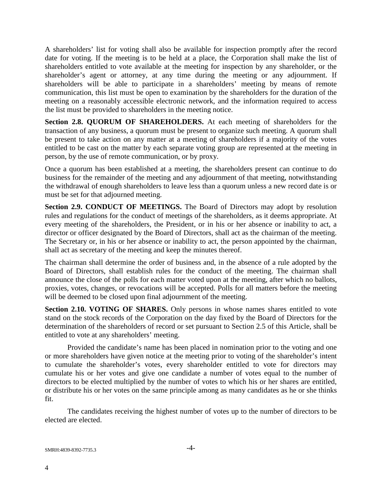A shareholders' list for voting shall also be available for inspection promptly after the record date for voting. If the meeting is to be held at a place, the Corporation shall make the list of shareholders entitled to vote available at the meeting for inspection by any shareholder, or the shareholder's agent or attorney, at any time during the meeting or any adjournment. If shareholders will be able to participate in a shareholders' meeting by means of remote communication, this list must be open to examination by the shareholders for the duration of the meeting on a reasonably accessible electronic network, and the information required to access the list must be provided to shareholders in the meeting notice.

**Section 2.8. QUORUM OF SHAREHOLDERS.** At each meeting of shareholders for the transaction of any business, a quorum must be present to organize such meeting. A quorum shall be present to take action on any matter at a meeting of shareholders if a majority of the votes entitled to be cast on the matter by each separate voting group are represented at the meeting in person, by the use of remote communication, or by proxy.

Once a quorum has been established at a meeting, the shareholders present can continue to do business for the remainder of the meeting and any adjournment of that meeting, notwithstanding the withdrawal of enough shareholders to leave less than a quorum unless a new record date is or must be set for that adjourned meeting.

**Section 2.9. CONDUCT OF MEETINGS.** The Board of Directors may adopt by resolution rules and regulations for the conduct of meetings of the shareholders, as it deems appropriate. At every meeting of the shareholders, the President, or in his or her absence or inability to act, a director or officer designated by the Board of Directors, shall act as the chairman of the meeting. The Secretary or, in his or her absence or inability to act, the person appointed by the chairman, shall act as secretary of the meeting and keep the minutes thereof.

The chairman shall determine the order of business and, in the absence of a rule adopted by the Board of Directors, shall establish rules for the conduct of the meeting. The chairman shall announce the close of the polls for each matter voted upon at the meeting, after which no ballots, proxies, votes, changes, or revocations will be accepted. Polls for all matters before the meeting will be deemed to be closed upon final adjournment of the meeting.

**Section 2.10. VOTING OF SHARES.** Only persons in whose names shares entitled to vote stand on the stock records of the Corporation on the day fixed by the Board of Directors for the determination of the shareholders of record or set pursuant to Section 2.5 of this Article, shall be entitled to vote at any shareholders' meeting.

Provided the candidate's name has been placed in nomination prior to the voting and one or more shareholders have given notice at the meeting prior to voting of the shareholder's intent to cumulate the shareholder's votes, every shareholder entitled to vote for directors may cumulate his or her votes and give one candidate a number of votes equal to the number of directors to be elected multiplied by the number of votes to which his or her shares are entitled, or distribute his or her votes on the same principle among as many candidates as he or she thinks fit.

The candidates receiving the highest number of votes up to the number of directors to be elected are elected.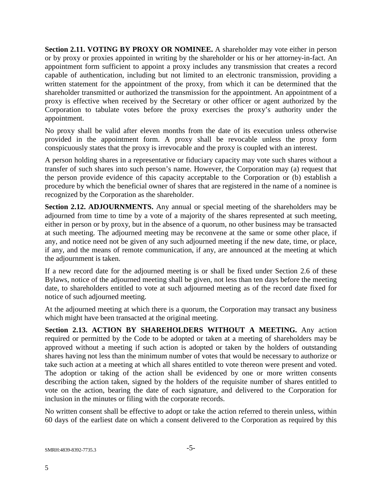**Section 2.11. VOTING BY PROXY OR NOMINEE.** A shareholder may vote either in person or by proxy or proxies appointed in writing by the shareholder or his or her attorney-in-fact. An appointment form sufficient to appoint a proxy includes any transmission that creates a record capable of authentication, including but not limited to an electronic transmission, providing a written statement for the appointment of the proxy, from which it can be determined that the shareholder transmitted or authorized the transmission for the appointment. An appointment of a proxy is effective when received by the Secretary or other officer or agent authorized by the Corporation to tabulate votes before the proxy exercises the proxy's authority under the appointment.

No proxy shall be valid after eleven months from the date of its execution unless otherwise provided in the appointment form. A proxy shall be revocable unless the proxy form conspicuously states that the proxy is irrevocable and the proxy is coupled with an interest.

A person holding shares in a representative or fiduciary capacity may vote such shares without a transfer of such shares into such person's name. However, the Corporation may (a) request that the person provide evidence of this capacity acceptable to the Corporation or (b) establish a procedure by which the beneficial owner of shares that are registered in the name of a nominee is recognized by the Corporation as the shareholder.

**Section 2.12. ADJOURNMENTS.** Any annual or special meeting of the shareholders may be adjourned from time to time by a vote of a majority of the shares represented at such meeting, either in person or by proxy, but in the absence of a quorum, no other business may be transacted at such meeting. The adjourned meeting may be reconvene at the same or some other place, if any, and notice need not be given of any such adjourned meeting if the new date, time, or place, if any, and the means of remote communication, if any, are announced at the meeting at which the adjournment is taken.

If a new record date for the adjourned meeting is or shall be fixed under Section 2.6 of these Bylaws, notice of the adjourned meeting shall be given, not less than ten days before the meeting date, to shareholders entitled to vote at such adjourned meeting as of the record date fixed for notice of such adjourned meeting.

At the adjourned meeting at which there is a quorum, the Corporation may transact any business which might have been transacted at the original meeting.

**Section 2.13. ACTION BY SHAREHOLDERS WITHOUT A MEETING.** Any action required or permitted by the Code to be adopted or taken at a meeting of shareholders may be approved without a meeting if such action is adopted or taken by the holders of outstanding shares having not less than the minimum number of votes that would be necessary to authorize or take such action at a meeting at which all shares entitled to vote thereon were present and voted. The adoption or taking of the action shall be evidenced by one or more written consents describing the action taken, signed by the holders of the requisite number of shares entitled to vote on the action, bearing the date of each signature, and delivered to the Corporation for inclusion in the minutes or filing with the corporate records.

No written consent shall be effective to adopt or take the action referred to therein unless, within 60 days of the earliest date on which a consent delivered to the Corporation as required by this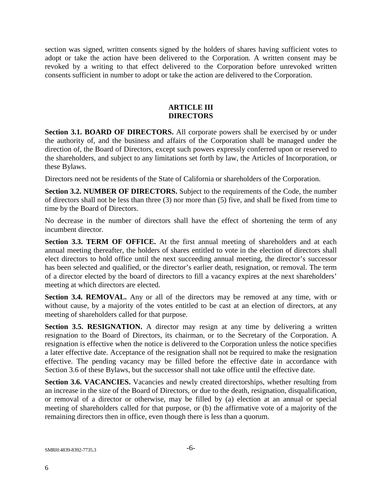section was signed, written consents signed by the holders of shares having sufficient votes to adopt or take the action have been delivered to the Corporation. A written consent may be revoked by a writing to that effect delivered to the Corporation before unrevoked written consents sufficient in number to adopt or take the action are delivered to the Corporation.

## **ARTICLE III DIRECTORS**

**Section 3.1. BOARD OF DIRECTORS.** All corporate powers shall be exercised by or under the authority of, and the business and affairs of the Corporation shall be managed under the direction of, the Board of Directors, except such powers expressly conferred upon or reserved to the shareholders, and subject to any limitations set forth by law, the Articles of Incorporation, or these Bylaws.

Directors need not be residents of the State of California or shareholders of the Corporation.

**Section 3.2. NUMBER OF DIRECTORS.** Subject to the requirements of the Code, the number of directors shall not be less than three (3) nor more than (5) five, and shall be fixed from time to time by the Board of Directors.

No decrease in the number of directors shall have the effect of shortening the term of any incumbent director.

**Section 3.3. TERM OF OFFICE.** At the first annual meeting of shareholders and at each annual meeting thereafter, the holders of shares entitled to vote in the election of directors shall elect directors to hold office until the next succeeding annual meeting, the director's successor has been selected and qualified, or the director's earlier death, resignation, or removal. The term of a director elected by the board of directors to fill a vacancy expires at the next shareholders' meeting at which directors are elected.

**Section 3.4. REMOVAL.** Any or all of the directors may be removed at any time, with or without cause, by a majority of the votes entitled to be cast at an election of directors, at any meeting of shareholders called for that purpose.

**Section 3.5. RESIGNATION.** A director may resign at any time by delivering a written resignation to the Board of Directors, its chairman, or to the Secretary of the Corporation. A resignation is effective when the notice is delivered to the Corporation unless the notice specifies a later effective date. Acceptance of the resignation shall not be required to make the resignation effective. The pending vacancy may be filled before the effective date in accordance with Section 3.6 of these Bylaws, but the successor shall not take office until the effective date.

**Section 3.6. VACANCIES.** Vacancies and newly created directorships, whether resulting from an increase in the size of the Board of Directors, or due to the death, resignation, disqualification, or removal of a director or otherwise, may be filled by (a) election at an annual or special meeting of shareholders called for that purpose, or (b) the affirmative vote of a majority of the remaining directors then in office, even though there is less than a quorum.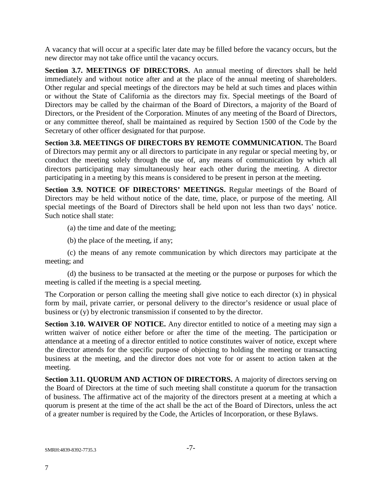A vacancy that will occur at a specific later date may be filled before the vacancy occurs, but the new director may not take office until the vacancy occurs.

**Section 3.7. MEETINGS OF DIRECTORS.** An annual meeting of directors shall be held immediately and without notice after and at the place of the annual meeting of shareholders. Other regular and special meetings of the directors may be held at such times and places within or without the State of California as the directors may fix. Special meetings of the Board of Directors may be called by the chairman of the Board of Directors, a majority of the Board of Directors, or the President of the Corporation. Minutes of any meeting of the Board of Directors, or any committee thereof, shall be maintained as required by Section 1500 of the Code by the Secretary of other officer designated for that purpose.

**Section 3.8. MEETINGS OF DIRECTORS BY REMOTE COMMUNICATION.** The Board of Directors may permit any or all directors to participate in any regular or special meeting by, or conduct the meeting solely through the use of, any means of communication by which all directors participating may simultaneously hear each other during the meeting. A director participating in a meeting by this means is considered to be present in person at the meeting.

**Section 3.9. NOTICE OF DIRECTORS' MEETINGS.** Regular meetings of the Board of Directors may be held without notice of the date, time, place, or purpose of the meeting. All special meetings of the Board of Directors shall be held upon not less than two days' notice. Such notice shall state:

(a) the time and date of the meeting;

(b) the place of the meeting, if any;

(c) the means of any remote communication by which directors may participate at the meeting; and

(d) the business to be transacted at the meeting or the purpose or purposes for which the meeting is called if the meeting is a special meeting.

The Corporation or person calling the meeting shall give notice to each director (x) in physical form by mail, private carrier, or personal delivery to the director's residence or usual place of business or (y) by electronic transmission if consented to by the director.

**Section 3.10. WAIVER OF NOTICE.** Any director entitled to notice of a meeting may sign a written waiver of notice either before or after the time of the meeting. The participation or attendance at a meeting of a director entitled to notice constitutes waiver of notice, except where the director attends for the specific purpose of objecting to holding the meeting or transacting business at the meeting, and the director does not vote for or assent to action taken at the meeting.

**Section 3.11. QUORUM AND ACTION OF DIRECTORS.** A majority of directors serving on the Board of Directors at the time of such meeting shall constitute a quorum for the transaction of business. The affirmative act of the majority of the directors present at a meeting at which a quorum is present at the time of the act shall be the act of the Board of Directors, unless the act of a greater number is required by the Code, the Articles of Incorporation, or these Bylaws.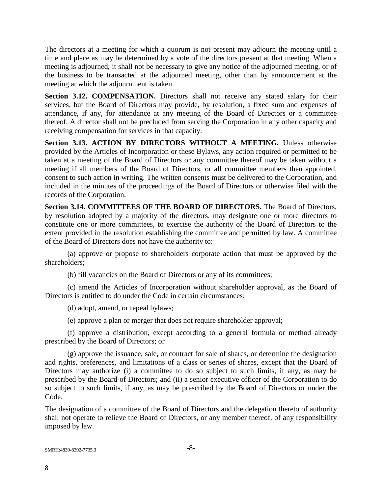The directors at a meeting for which a quorum is not present may adjourn the meeting until a time and place as may be determined by a vote of the directors present at that meeting. When a meeting is adjourned, it shall not be necessary to give any notice of the adjourned meeting, or of the business to be transacted at the adjourned meeting, other than by announcement at the meeting at which the adjournment is taken.

**Section 3.12. COMPENSATION.** Directors shall not receive any stated salary for their services, but the Board of Directors may provide, by resolution, a fixed sum and expenses of attendance, if any, for attendance at any meeting of the Board of Directors or a committee thereof. A director shall not be precluded from serving the Corporation in any other capacity and receiving compensation for services in that capacity.

**Section 3.13. ACTION BY DIRECTORS WITHOUT A MEETING.** Unless otherwise provided by the Articles of Incorporation or these Bylaws, any action required or permitted to be taken at a meeting of the Board of Directors or any committee thereof may be taken without a meeting if all members of the Board of Directors, or all committee members then appointed, consent to such action in writing. The written consents must be delivered to the Corporation, and included in the minutes of the proceedings of the Board of Directors or otherwise filed with the records of the Corporation.

**Section 3.14. COMMITTEES OF THE BOARD OF DIRECTORS.** The Board of Directors, by resolution adopted by a majority of the directors, may designate one or more directors to constitute one or more committees, to exercise the authority of the Board of Directors to the extent provided in the resolution establishing the committee and permitted by law. A committee of the Board of Directors does not have the authority to:

(a) approve or propose to shareholders corporate action that must be approved by the shareholders;

(b) fill vacancies on the Board of Directors or any of its committees;

(c) amend the Articles of Incorporation without shareholder approval, as the Board of Directors is entitled to do under the Code in certain circumstances;

(d) adopt, amend, or repeal bylaws;

(e) approve a plan or merger that does not require shareholder approval;

(f) approve a distribution, except according to a general formula or method already prescribed by the Board of Directors; or

(g) approve the issuance, sale, or contract for sale of shares, or determine the designation and rights, preferences, and limitations of a class or series of shares, except that the Board of Directors may authorize (i) a committee to do so subject to such limits, if any, as may be prescribed by the Board of Directors; and (ii) a senior executive officer of the Corporation to do so subject to such limits, if any, as may be prescribed by the Board of Directors or under the Code.

The designation of a committee of the Board of Directors and the delegation thereto of authority shall not operate to relieve the Board of Directors, or any member thereof, of any responsibility imposed by law.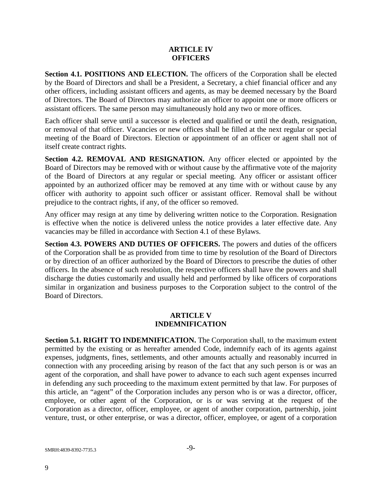## **ARTICLE IV OFFICERS**

**Section 4.1. POSITIONS AND ELECTION.** The officers of the Corporation shall be elected by the Board of Directors and shall be a President, a Secretary, a chief financial officer and any other officers, including assistant officers and agents, as may be deemed necessary by the Board of Directors. The Board of Directors may authorize an officer to appoint one or more officers or assistant officers. The same person may simultaneously hold any two or more offices.

Each officer shall serve until a successor is elected and qualified or until the death, resignation, or removal of that officer. Vacancies or new offices shall be filled at the next regular or special meeting of the Board of Directors. Election or appointment of an officer or agent shall not of itself create contract rights.

**Section 4.2. REMOVAL AND RESIGNATION.** Any officer elected or appointed by the Board of Directors may be removed with or without cause by the affirmative vote of the majority of the Board of Directors at any regular or special meeting. Any officer or assistant officer appointed by an authorized officer may be removed at any time with or without cause by any officer with authority to appoint such officer or assistant officer. Removal shall be without prejudice to the contract rights, if any, of the officer so removed.

Any officer may resign at any time by delivering written notice to the Corporation. Resignation is effective when the notice is delivered unless the notice provides a later effective date. Any vacancies may be filled in accordance with Section 4.1 of these Bylaws.

**Section 4.3. POWERS AND DUTIES OF OFFICERS.** The powers and duties of the officers of the Corporation shall be as provided from time to time by resolution of the Board of Directors or by direction of an officer authorized by the Board of Directors to prescribe the duties of other officers. In the absence of such resolution, the respective officers shall have the powers and shall discharge the duties customarily and usually held and performed by like officers of corporations similar in organization and business purposes to the Corporation subject to the control of the Board of Directors.

## **ARTICLE V INDEMNIFICATION**

**Section 5.1. RIGHT TO INDEMNIFICATION.** The Corporation shall, to the maximum extent permitted by the existing or as hereafter amended Code, indemnify each of its agents against expenses, judgments, fines, settlements, and other amounts actually and reasonably incurred in connection with any proceeding arising by reason of the fact that any such person is or was an agent of the corporation, and shall have power to advance to each such agent expenses incurred in defending any such proceeding to the maximum extent permitted by that law. For purposes of this article, an "agent" of the Corporation includes any person who is or was a director, officer, employee, or other agent of the Corporation, or is or was serving at the request of the Corporation as a director, officer, employee, or agent of another corporation, partnership, joint venture, trust, or other enterprise, or was a director, officer, employee, or agent of a corporation

SMRH:4839-8392-7735.3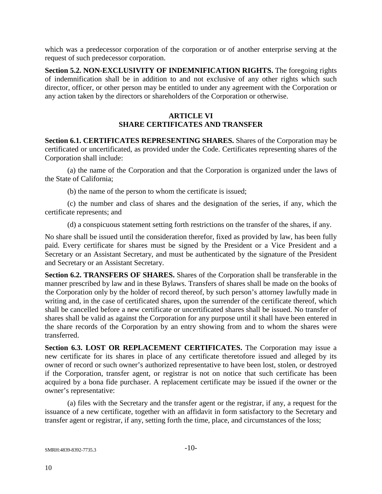which was a predecessor corporation of the corporation or of another enterprise serving at the request of such predecessor corporation.

**Section 5.2. NON-EXCLUSIVITY OF INDEMNIFICATION RIGHTS.** The foregoing rights of indemnification shall be in addition to and not exclusive of any other rights which such director, officer, or other person may be entitled to under any agreement with the Corporation or any action taken by the directors or shareholders of the Corporation or otherwise.

# **ARTICLE VI SHARE CERTIFICATES AND TRANSFER**

**Section 6.1. CERTIFICATES REPRESENTING SHARES.** Shares of the Corporation may be certificated or uncertificated, as provided under the Code. Certificates representing shares of the Corporation shall include:

(a) the name of the Corporation and that the Corporation is organized under the laws of the State of California;

(b) the name of the person to whom the certificate is issued;

(c) the number and class of shares and the designation of the series, if any, which the certificate represents; and

(d) a conspicuous statement setting forth restrictions on the transfer of the shares, if any.

No share shall be issued until the consideration therefor, fixed as provided by law, has been fully paid. Every certificate for shares must be signed by the President or a Vice President and a Secretary or an Assistant Secretary, and must be authenticated by the signature of the President and Secretary or an Assistant Secretary.

**Section 6.2. TRANSFERS OF SHARES.** Shares of the Corporation shall be transferable in the manner prescribed by law and in these Bylaws. Transfers of shares shall be made on the books of the Corporation only by the holder of record thereof, by such person's attorney lawfully made in writing and, in the case of certificated shares, upon the surrender of the certificate thereof, which shall be cancelled before a new certificate or uncertificated shares shall be issued. No transfer of shares shall be valid as against the Corporation for any purpose until it shall have been entered in the share records of the Corporation by an entry showing from and to whom the shares were transferred.

**Section 6.3. LOST OR REPLACEMENT CERTIFICATES.** The Corporation may issue a new certificate for its shares in place of any certificate theretofore issued and alleged by its owner of record or such owner's authorized representative to have been lost, stolen, or destroyed if the Corporation, transfer agent, or registrar is not on notice that such certificate has been acquired by a bona fide purchaser. A replacement certificate may be issued if the owner or the owner's representative:

(a) files with the Secretary and the transfer agent or the registrar, if any, a request for the issuance of a new certificate, together with an affidavit in form satisfactory to the Secretary and transfer agent or registrar, if any, setting forth the time, place, and circumstances of the loss;

SMRH:4839-8392-7735.3 -10-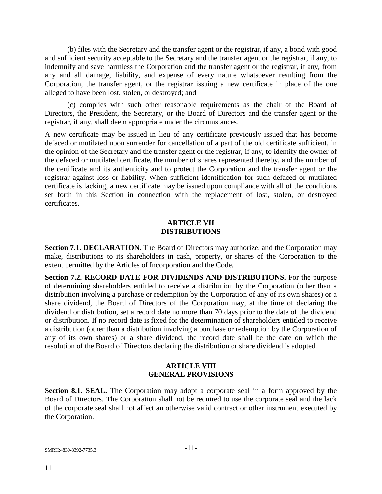(b) files with the Secretary and the transfer agent or the registrar, if any, a bond with good and sufficient security acceptable to the Secretary and the transfer agent or the registrar, if any, to indemnify and save harmless the Corporation and the transfer agent or the registrar, if any, from any and all damage, liability, and expense of every nature whatsoever resulting from the Corporation, the transfer agent, or the registrar issuing a new certificate in place of the one alleged to have been lost, stolen, or destroyed; and

(c) complies with such other reasonable requirements as the chair of the Board of Directors, the President, the Secretary, or the Board of Directors and the transfer agent or the registrar, if any, shall deem appropriate under the circumstances.

A new certificate may be issued in lieu of any certificate previously issued that has become defaced or mutilated upon surrender for cancellation of a part of the old certificate sufficient, in the opinion of the Secretary and the transfer agent or the registrar, if any, to identify the owner of the defaced or mutilated certificate, the number of shares represented thereby, and the number of the certificate and its authenticity and to protect the Corporation and the transfer agent or the registrar against loss or liability. When sufficient identification for such defaced or mutilated certificate is lacking, a new certificate may be issued upon compliance with all of the conditions set forth in this Section in connection with the replacement of lost, stolen, or destroyed certificates.

### **ARTICLE VII DISTRIBUTIONS**

**Section 7.1. DECLARATION.** The Board of Directors may authorize, and the Corporation may make, distributions to its shareholders in cash, property, or shares of the Corporation to the extent permitted by the Articles of Incorporation and the Code.

**Section 7.2. RECORD DATE FOR DIVIDENDS AND DISTRIBUTIONS.** For the purpose of determining shareholders entitled to receive a distribution by the Corporation (other than a distribution involving a purchase or redemption by the Corporation of any of its own shares) or a share dividend, the Board of Directors of the Corporation may, at the time of declaring the dividend or distribution, set a record date no more than 70 days prior to the date of the dividend or distribution. If no record date is fixed for the determination of shareholders entitled to receive a distribution (other than a distribution involving a purchase or redemption by the Corporation of any of its own shares) or a share dividend, the record date shall be the date on which the resolution of the Board of Directors declaring the distribution or share dividend is adopted.

#### **ARTICLE VIII GENERAL PROVISIONS**

**Section 8.1. SEAL.** The Corporation may adopt a corporate seal in a form approved by the Board of Directors. The Corporation shall not be required to use the corporate seal and the lack of the corporate seal shall not affect an otherwise valid contract or other instrument executed by the Corporation.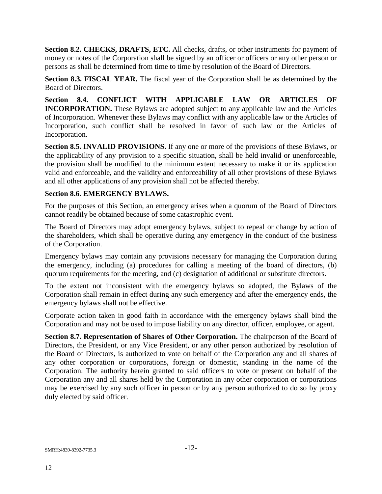**Section 8.2. CHECKS, DRAFTS, ETC.** All checks, drafts, or other instruments for payment of money or notes of the Corporation shall be signed by an officer or officers or any other person or persons as shall be determined from time to time by resolution of the Board of Directors.

**Section 8.3. FISCAL YEAR.** The fiscal year of the Corporation shall be as determined by the Board of Directors.

**Section 8.4. CONFLICT WITH APPLICABLE LAW OR ARTICLES OF INCORPORATION.** These Bylaws are adopted subject to any applicable law and the Articles of Incorporation. Whenever these Bylaws may conflict with any applicable law or the Articles of Incorporation, such conflict shall be resolved in favor of such law or the Articles of Incorporation.

**Section 8.5. INVALID PROVISIONS.** If any one or more of the provisions of these Bylaws, or the applicability of any provision to a specific situation, shall be held invalid or unenforceable, the provision shall be modified to the minimum extent necessary to make it or its application valid and enforceable, and the validity and enforceability of all other provisions of these Bylaws and all other applications of any provision shall not be affected thereby.

## **Section 8.6. EMERGENCY BYLAWS.**

For the purposes of this Section, an emergency arises when a quorum of the Board of Directors cannot readily be obtained because of some catastrophic event.

The Board of Directors may adopt emergency bylaws, subject to repeal or change by action of the shareholders, which shall be operative during any emergency in the conduct of the business of the Corporation.

Emergency bylaws may contain any provisions necessary for managing the Corporation during the emergency, including (a) procedures for calling a meeting of the board of directors, (b) quorum requirements for the meeting, and (c) designation of additional or substitute directors.

To the extent not inconsistent with the emergency bylaws so adopted, the Bylaws of the Corporation shall remain in effect during any such emergency and after the emergency ends, the emergency bylaws shall not be effective.

Corporate action taken in good faith in accordance with the emergency bylaws shall bind the Corporation and may not be used to impose liability on any director, officer, employee, or agent.

**Section 8.7. Representation of Shares of Other Corporation.** The chairperson of the Board of Directors, the President, or any Vice President, or any other person authorized by resolution of the Board of Directors, is authorized to vote on behalf of the Corporation any and all shares of any other corporation or corporations, foreign or domestic, standing in the name of the Corporation. The authority herein granted to said officers to vote or present on behalf of the Corporation any and all shares held by the Corporation in any other corporation or corporations may be exercised by any such officer in person or by any person authorized to do so by proxy duly elected by said officer.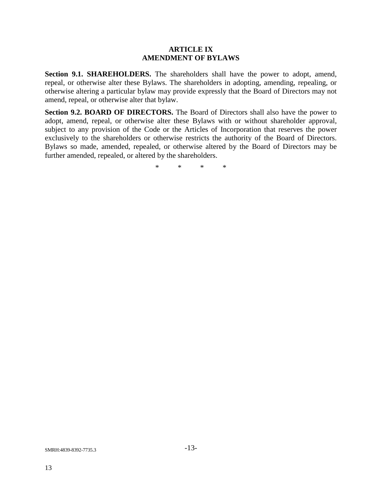#### **ARTICLE IX AMENDMENT OF BYLAWS**

**Section 9.1. SHAREHOLDERS.** The shareholders shall have the power to adopt, amend, repeal, or otherwise alter these Bylaws. The shareholders in adopting, amending, repealing, or otherwise altering a particular bylaw may provide expressly that the Board of Directors may not amend, repeal, or otherwise alter that bylaw.

**Section 9.2. BOARD OF DIRECTORS.** The Board of Directors shall also have the power to adopt, amend, repeal, or otherwise alter these Bylaws with or without shareholder approval, subject to any provision of the Code or the Articles of Incorporation that reserves the power exclusively to the shareholders or otherwise restricts the authority of the Board of Directors. Bylaws so made, amended, repealed, or otherwise altered by the Board of Directors may be further amended, repealed, or altered by the shareholders.

\* \* \* \*